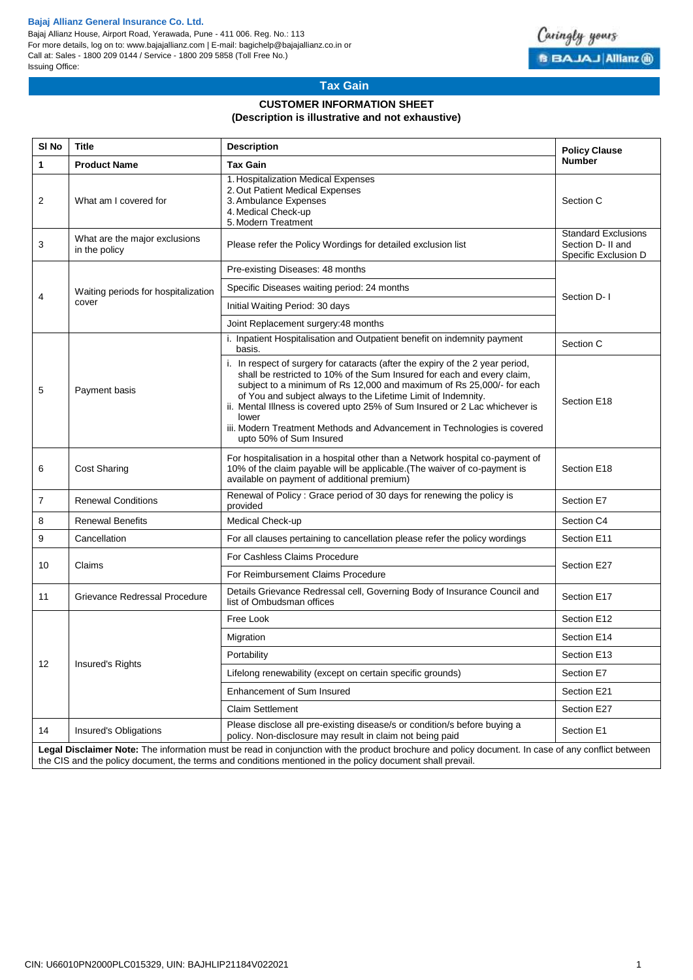## **Bajaj Allianz General Insurance Co. Ltd.**

Bajaj Allianz House, Airport Road, Yerawada, Pune - 411 006. Reg. No.: 113 For more details, log on to: www.bajajallianz.com | E-mail: bagichelp@bajajallianz.co.in or Call at: Sales - 1800 209 0144 / Service - 1800 209 5858 (Toll Free No.) Issuing Office:



# **Tax Gain**

# **CUSTOMER INFORMATION SHEET (Description is illustrative and not exhaustive)**

| SI <sub>No</sub> | <b>Title</b>                                                                                                                                                                                                                                                   | <b>Policy Clause</b>                                                                                                                                                                                                                                                                                                                                                                                                                                                                               |                                                                         |  |  |  |  |  |  |  |
|------------------|----------------------------------------------------------------------------------------------------------------------------------------------------------------------------------------------------------------------------------------------------------------|----------------------------------------------------------------------------------------------------------------------------------------------------------------------------------------------------------------------------------------------------------------------------------------------------------------------------------------------------------------------------------------------------------------------------------------------------------------------------------------------------|-------------------------------------------------------------------------|--|--|--|--|--|--|--|
| 1                | <b>Product Name</b>                                                                                                                                                                                                                                            | <b>Tax Gain</b>                                                                                                                                                                                                                                                                                                                                                                                                                                                                                    | <b>Number</b>                                                           |  |  |  |  |  |  |  |
| 2                | What am I covered for                                                                                                                                                                                                                                          | 1. Hospitalization Medical Expenses<br>2. Out Patient Medical Expenses<br>3. Ambulance Expenses<br>4. Medical Check-up<br>5. Modern Treatment                                                                                                                                                                                                                                                                                                                                                      | Section C                                                               |  |  |  |  |  |  |  |
| 3                | What are the major exclusions<br>in the policy                                                                                                                                                                                                                 | Please refer the Policy Wordings for detailed exclusion list                                                                                                                                                                                                                                                                                                                                                                                                                                       | <b>Standard Exclusions</b><br>Section D- II and<br>Specific Exclusion D |  |  |  |  |  |  |  |
| 4                | Waiting periods for hospitalization<br>cover                                                                                                                                                                                                                   | Pre-existing Diseases: 48 months                                                                                                                                                                                                                                                                                                                                                                                                                                                                   | Section D-1                                                             |  |  |  |  |  |  |  |
|                  |                                                                                                                                                                                                                                                                | Specific Diseases waiting period: 24 months                                                                                                                                                                                                                                                                                                                                                                                                                                                        |                                                                         |  |  |  |  |  |  |  |
|                  |                                                                                                                                                                                                                                                                | Initial Waiting Period: 30 days                                                                                                                                                                                                                                                                                                                                                                                                                                                                    |                                                                         |  |  |  |  |  |  |  |
|                  |                                                                                                                                                                                                                                                                | Joint Replacement surgery: 48 months                                                                                                                                                                                                                                                                                                                                                                                                                                                               |                                                                         |  |  |  |  |  |  |  |
|                  |                                                                                                                                                                                                                                                                | i. Inpatient Hospitalisation and Outpatient benefit on indemnity payment<br>basis.                                                                                                                                                                                                                                                                                                                                                                                                                 | Section C                                                               |  |  |  |  |  |  |  |
| 5                | Payment basis                                                                                                                                                                                                                                                  | i. In respect of surgery for cataracts (after the expiry of the 2 year period,<br>shall be restricted to 10% of the Sum Insured for each and every claim,<br>subject to a minimum of Rs 12,000 and maximum of Rs 25,000/- for each<br>of You and subject always to the Lifetime Limit of Indemnity.<br>ii. Mental Illness is covered upto 25% of Sum Insured or 2 Lac whichever is<br>lower<br>iii. Modern Treatment Methods and Advancement in Technologies is covered<br>upto 50% of Sum Insured | Section E18                                                             |  |  |  |  |  |  |  |
| 6                | <b>Cost Sharing</b>                                                                                                                                                                                                                                            | For hospitalisation in a hospital other than a Network hospital co-payment of<br>10% of the claim payable will be applicable. (The waiver of co-payment is<br>available on payment of additional premium)                                                                                                                                                                                                                                                                                          | Section E18                                                             |  |  |  |  |  |  |  |
| 7                | <b>Renewal Conditions</b>                                                                                                                                                                                                                                      | Renewal of Policy: Grace period of 30 days for renewing the policy is<br>provided                                                                                                                                                                                                                                                                                                                                                                                                                  | Section E7                                                              |  |  |  |  |  |  |  |
| 8                | <b>Renewal Benefits</b>                                                                                                                                                                                                                                        | Medical Check-up                                                                                                                                                                                                                                                                                                                                                                                                                                                                                   | Section C4                                                              |  |  |  |  |  |  |  |
| 9                | Cancellation                                                                                                                                                                                                                                                   | For all clauses pertaining to cancellation please refer the policy wordings                                                                                                                                                                                                                                                                                                                                                                                                                        | Section E11                                                             |  |  |  |  |  |  |  |
| 10               | Claims                                                                                                                                                                                                                                                         | For Cashless Claims Procedure                                                                                                                                                                                                                                                                                                                                                                                                                                                                      | Section E27                                                             |  |  |  |  |  |  |  |
|                  |                                                                                                                                                                                                                                                                | For Reimbursement Claims Procedure                                                                                                                                                                                                                                                                                                                                                                                                                                                                 |                                                                         |  |  |  |  |  |  |  |
| 11               | Grievance Redressal Procedure                                                                                                                                                                                                                                  | Details Grievance Redressal cell, Governing Body of Insurance Council and<br>list of Ombudsman offices                                                                                                                                                                                                                                                                                                                                                                                             | Section E17                                                             |  |  |  |  |  |  |  |
|                  | Insured's Rights                                                                                                                                                                                                                                               | Free Look                                                                                                                                                                                                                                                                                                                                                                                                                                                                                          | Section E12                                                             |  |  |  |  |  |  |  |
|                  |                                                                                                                                                                                                                                                                | Migration                                                                                                                                                                                                                                                                                                                                                                                                                                                                                          | Section E14                                                             |  |  |  |  |  |  |  |
|                  |                                                                                                                                                                                                                                                                | Portability                                                                                                                                                                                                                                                                                                                                                                                                                                                                                        | Section E13                                                             |  |  |  |  |  |  |  |
| 12               |                                                                                                                                                                                                                                                                | Lifelong renewability (except on certain specific grounds)                                                                                                                                                                                                                                                                                                                                                                                                                                         | Section E7                                                              |  |  |  |  |  |  |  |
|                  |                                                                                                                                                                                                                                                                | Enhancement of Sum Insured                                                                                                                                                                                                                                                                                                                                                                                                                                                                         | Section E21                                                             |  |  |  |  |  |  |  |
|                  |                                                                                                                                                                                                                                                                | <b>Claim Settlement</b>                                                                                                                                                                                                                                                                                                                                                                                                                                                                            | Section E27                                                             |  |  |  |  |  |  |  |
| 14               | <b>Insured's Obligations</b>                                                                                                                                                                                                                                   | Please disclose all pre-existing disease/s or condition/s before buying a<br>policy. Non-disclosure may result in claim not being paid                                                                                                                                                                                                                                                                                                                                                             | Section E1                                                              |  |  |  |  |  |  |  |
|                  | Legal Disclaimer Note: The information must be read in conjunction with the product brochure and policy document. In case of any conflict between<br>the CIS and the policy document, the terms and conditions mentioned in the policy document shall prevail. |                                                                                                                                                                                                                                                                                                                                                                                                                                                                                                    |                                                                         |  |  |  |  |  |  |  |